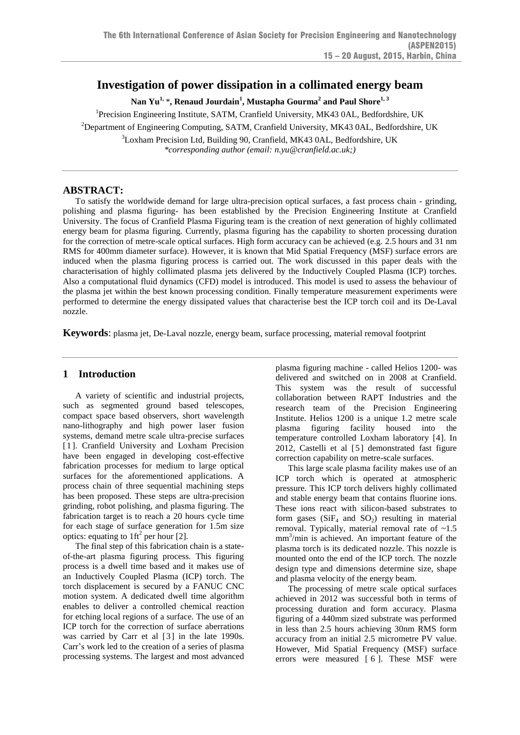# **Investigation of power dissipation in a collimated energy beam**

**Nan Yu1,** *\****, Renaud Jourdain<sup>1</sup> , Mustapha Gourma<sup>2</sup> and Paul Shore1, 3**

<sup>1</sup>Precision Engineering Institute, SATM, Cranfield University, MK43 0AL, Bedfordshire, UK

<sup>2</sup>Department of Engineering Computing, SATM, Cranfield University, MK43 0AL, Bedfordshire, UK

 $3$ Loxham Precision Ltd, Building 90, Cranfield, MK43 0AL, Bedfordshire, UK *\*corresponding author (email: n.yu@cranfield.ac.uk;)*

## **ABSTRACT:**

To satisfy the worldwide demand for large ultra-precision optical surfaces, a fast process chain - grinding, polishing and plasma figuring- has been established by the Precision Engineering Institute at Cranfield University. The focus of Cranfield Plasma Figuring team is the creation of next generation of highly collimated energy beam for plasma figuring. Currently, plasma figuring has the capability to shorten processing duration for the correction of metre-scale optical surfaces. High form accuracy can be achieved (e.g. 2.5 hours and 31 nm RMS for 400mm diameter surface). However, it is known that Mid Spatial Frequency (MSF) surface errors are induced when the plasma figuring process is carried out. The work discussed in this paper deals with the characterisation of highly collimated plasma jets delivered by the Inductively Coupled Plasma (ICP) torches. Also a computational fluid dynamics (CFD) model is introduced. This model is used to assess the behaviour of the plasma jet within the best known processing condition. Finally temperature measurement experiments were performed to determine the energy dissipated values that characterise best the ICP torch coil and its De-Laval nozzle.

**Keywords**: plasma jet, De-Laval nozzle, energy beam, surface processing, material removal footprint

## **1 Introduction**

A variety of scientific and industrial projects, such as segmented ground based telescopes, compact space based observers, short wavelength nano-lithography and high power laser fusion systems, demand metre scale ultra-precise surfaces [1]. Cranfield University and Loxham Precision have been engaged in developing cost-effective fabrication processes for medium to large optical surfaces for the aforementioned applications. A process chain of three sequential machining steps has been proposed. These steps are ultra-precision grinding, robot polishing, and plasma figuring. The fabrication target is to reach a 20 hours cycle time for each stage of surface generation for 1.5m size optics: equating to  $1 \text{ ft}^2$  per hour [2].

The final step of this fabrication chain is a stateof-the-art plasma figuring process. This figuring process is a dwell time based and it makes use of an Inductively Coupled Plasma (ICP) torch. The torch displacement is secured by a FANUC CNC motion system. A dedicated dwell time algorithm enables to deliver a controlled chemical reaction for etching local regions of a surface. The use of an ICP torch for the correction of surface aberrations was carried by Carr et al [3] in the late 1990s. Carr's work led to the creation of a series of plasma processing systems. The largest and most advanced

plasma figuring machine - called Helios 1200- was delivered and switched on in 2008 at Cranfield. This system was the result of successful collaboration between RAPT Industries and the research team of the Precision Engineering Institute. Helios 1200 is a unique 1.2 metre scale plasma figuring facility housed into the temperature controlled Loxham laboratory [4]. In 2012, Castelli et al [5] demonstrated fast figure correction capability on metre-scale surfaces.

This large scale plasma facility makes use of an ICP torch which is operated at atmospheric pressure. This ICP torch delivers highly collimated and stable energy beam that contains fluorine ions. These ions react with silicon-based substrates to form gases  $(SiF_4$  and  $SO_2)$  resulting in material removal. Typically, material removal rate of ~1.5 mm<sup>3</sup> /min is achieved. An important feature of the plasma torch is its dedicated nozzle. This nozzle is mounted onto the end of the ICP torch. The nozzle design type and dimensions determine size, shape and plasma velocity of the energy beam.

The processing of metre scale optical surfaces achieved in 2012 was successful both in terms of processing duration and form accuracy. Plasma figuring of a 440mm sized substrate was performed in less than 2.5 hours achieving 30nm RMS form accuracy from an initial 2.5 micrometre PV value. However, Mid Spatial Frequency (MSF) surface errors were measured [ 6 ]. These MSF were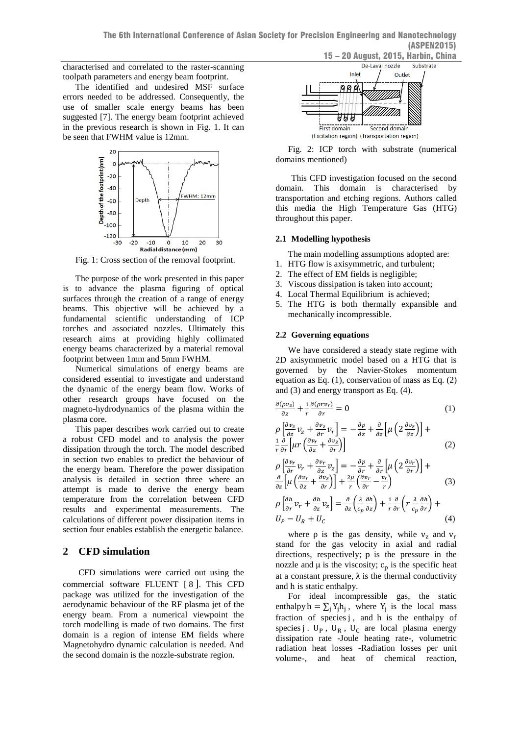characterised and correlated to the raster-scanning toolpath parameters and energy beam footprint.

The identified and undesired MSF surface errors needed to be addressed. Consequently, the use of smaller scale energy beams has been suggested [7]. The energy beam footprint achieved in the previous research is shown in Fig. 1. It can be seen that FWHM value is 12mm.



Fig. 1: Cross section of the removal footprint.

The purpose of the work presented in this paper is to advance the plasma figuring of optical surfaces through the creation of a range of energy beams. This objective will be achieved by a fundamental scientific understanding of ICP torches and associated nozzles. Ultimately this research aims at providing highly collimated energy beams characterized by a material removal footprint between 1mm and 5mm FWHM.

Numerical simulations of energy beams are considered essential to investigate and understand the dynamic of the energy beam flow. Works of other research groups have focused on the magneto-hydrodynamics of the plasma within the plasma core.

This paper describes work carried out to create a robust CFD model and to analysis the power dissipation through the torch. The model described in section two enables to predict the behaviour of the energy beam. Therefore the power dissipation analysis is detailed in section three where an attempt is made to derive the energy beam temperature from the correlation between CFD results and experimental measurements. The calculations of different power dissipation items in section four enables establish the energetic balance.

## **2 CFD simulation**

CFD simulations were carried out using the commercial software FLUENT [ 8 ]. This CFD package was utilized for the investigation of the aerodynamic behaviour of the RF plasma jet of the energy beam. From a numerical viewpoint the torch modelling is made of two domains. The first domain is a region of intense EM fields where Magnetohydro dynamic calculation is needed. And the second domain is the nozzle-substrate region.



<span id="page-1-1"></span>Fig. 2: ICP torch with substrate (numerical domains mentioned)

This CFD investigation focused on the second domain. This domain is characterised by transportation and etching regions. Authors called this media the High Temperature Gas (HTG) throughout this paper.

#### **2.1 Modelling hypothesis**

The main modelling assumptions adopted are:

- 1. HTG flow is axisymmetric, and turbulent;
- 2. The effect of EM fields is negligible;
- 3. Viscous dissipation is taken into account;
- 4. Local Thermal Equilibrium is achieved;
- 5. The HTG is both thermally expansible and mechanically incompressible.

### **2.2 Governing equations**

We have considered a steady state regime with 2D axisymmetric model based on a HTG that is governed by the Navier-Stokes momentum equation as Eq. (1), conservation of mass as Eq. (2) and (3) and energy transport as Eq. (4).

$$
\frac{\partial(\rho v_z)}{\partial z} + \frac{1}{r} \frac{\partial(\rho r v_r)}{\partial r} = 0 \tag{1}
$$

$$
\rho \left[ \frac{\partial v_z}{\partial z} v_z + \frac{\partial v_z}{\partial r} v_r \right] = -\frac{\partial p}{\partial z} + \frac{\partial}{\partial z} \left[ \mu \left( 2 \frac{\partial v_z}{\partial z} \right) \right] + \frac{1}{r} \frac{\partial}{\partial r} \left[ \mu r \left( \frac{\partial v_r}{\partial z} + \frac{\partial v_z}{\partial r} \right) \right]
$$
\n(2)

$$
\rho \left[ \frac{\partial v_r}{\partial r} v_r + \frac{\partial v_r}{\partial z} v_z \right] = -\frac{\partial p}{\partial r} + \frac{\partial}{\partial r} \left[ \mu \left( 2 \frac{\partial v_r}{\partial r} \right) \right] + \frac{\partial}{\partial z} \left[ \mu \left( \frac{\partial v_r}{\partial z} + \frac{\partial v_z}{\partial r} \right) \right] + \frac{2\mu}{r} \left( \frac{\partial v_r}{\partial r} - \frac{v_r}{r} \right)
$$
(3)

$$
\rho \left[ \frac{\partial h}{\partial r} v_r + \frac{\partial h}{\partial z} v_z \right] = \frac{\partial}{\partial z} \left( \frac{\lambda}{c_p} \frac{\partial h}{\partial z} \right) + \frac{1}{r} \frac{\partial}{\partial r} \left( r \frac{\lambda}{c_p} \frac{\partial h}{\partial r} \right) +
$$
  
\n
$$
U_P - U_R + U_C
$$
\n(4)

where  $\rho$  is the gas density, while  $v_z$  and  $v_r$ stand for the gas velocity in axial and radial directions, respectively; p is the pressure in the nozzle and  $\mu$  is the viscosity;  $c_p$  is the specific heat at a constant pressure,  $\lambda$  is the thermal conductivity and h is static enthalpy.

<span id="page-1-0"></span>For ideal incompressible gas, the static enthalpy  $h = \sum_j Y_j h_j$ , where  $Y_j$  is the local mass fraction of species j, and h is the enthalpy of species j .  $U_P$ ,  $U_R$ ,  $U_C$  are local plasma energy dissipation rate -Joule heating rate-, volumetric radiation heat losses -Radiation losses per unit volume-, and heat of chemical reaction,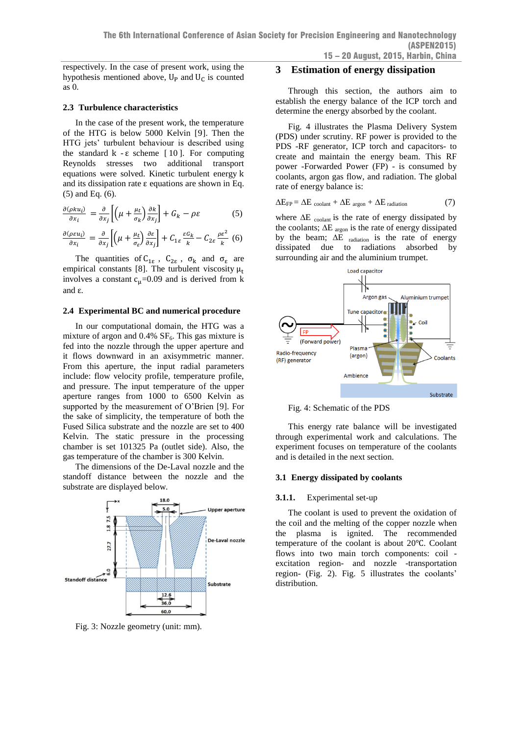respectively. In the case of present work, using the hypothesis mentioned above,  $U_P$  and  $U_C$  is counted as 0.

### **2.3 Turbulence characteristics**

In the case of the present work, the temperature of the HTG is below 5000 Kelvin [9]. Then the HTG jets' turbulent behaviour is described using the standard  $k - \varepsilon$  scheme [10]. For computing Reynolds stresses two additional transport equations were solved. Kinetic turbulent energy k and its dissipation rate  $\varepsilon$  equations are shown in Eq. (5) and Eq. (6).

$$
\frac{\partial(\rho k u_i)}{\partial x_i} = \frac{\partial}{\partial x_j} \left[ \left( \mu + \frac{\mu_t}{\sigma_k} \right) \frac{\partial k}{\partial x_j} \right] + G_k - \rho \varepsilon \tag{5}
$$

$$
\frac{\partial(\rho \varepsilon u_i)}{\partial x_i} = \frac{\partial}{\partial x_j} \left[ \left( \mu + \frac{\mu_t}{\sigma_{\varepsilon}} \right) \frac{\partial \varepsilon}{\partial x_j} \right] + C_{1\varepsilon} \frac{\varepsilon G_k}{k} - C_{2\varepsilon} \frac{\rho \varepsilon^2}{k} \tag{6}
$$

The quantities of  $C_{1\epsilon}$ ,  $C_{2\epsilon}$ ,  $\sigma_k$  and  $\sigma_{\epsilon}$  are empirical constants [\[8\]](#page-1-0). The turbulent viscosity  $\mu_t$ involves a constant  $c_u=0.09$  and is derived from k and ε.

### **2.4 Experimental BC and numerical procedure**

In our computational domain, the HTG was a mixture of argon and  $0.4\%$  SF<sub>6</sub>. This gas mixture is fed into the nozzle through the upper aperture and it flows downward in an axisymmetric manner. From this aperture, the input radial parameters include: flow velocity profile, temperature profile, and pressure. The input temperature of the upper aperture ranges from 1000 to 6500 Kelvin as supported by the measurement of O'Brien [\[9\]](#page-2-0). For the sake of simplicity, the temperature of both the Fused Silica substrate and the nozzle are set to 400 Kelvin. The static pressure in the processing chamber is set 101325 Pa (outlet side). Also, the gas temperature of the chamber is 300 Kelvin.

The dimensions of the De-Laval nozzle and the standoff distance between the nozzle and the substrate are displayed below.



Fig. 3: Nozzle geometry (unit: mm).

### **3 Estimation of energy dissipation**

Through this section, the authors aim to establish the energy balance of the ICP torch and determine the energy absorbed by the coolant.

<span id="page-2-0"></span>[Fig. 4](#page-2-1) illustrates the Plasma Delivery System (PDS) under scrutiny. RF power is provided to the PDS -RF generator, ICP torch and capacitors- to create and maintain the energy beam. This RF power -Forwarded Power (FP) - is consumed by coolants, argon gas flow, and radiation. The global rate of energy balance is:

$$
\Delta E_{FP} = \Delta E_{\text{ coolant}} + \Delta E_{\text{argon}} + \Delta E_{\text{radiation}} \tag{7}
$$

where  $\Delta E$  coolant is the rate of energy dissipated by the coolants;  $\Delta E_{\text{areon}}$  is the rate of energy dissipated by the beam; ∆E radiation is the rate of energy dissipated due to radiations absorbed by surrounding air and the aluminium trumpet.



<span id="page-2-1"></span>Fig. 4: Schematic of the PDS

This energy rate balance will be investigated through experimental work and calculations. The experiment focuses on temperature of the coolants and is detailed in the next section.

#### **3.1 Energy dissipated by coolants**

#### **3.1.1.** Experimental set-up

The coolant is used to prevent the oxidation of the coil and the melting of the copper nozzle when the plasma is ignited. The recommended temperature of the coolant is about 20℃. Coolant flows into two main torch components: coil excitation region- and nozzle -transportation region- [\(Fig. 2\)](#page-1-1). [Fig. 5](#page-3-0) illustrates the coolants' distribution.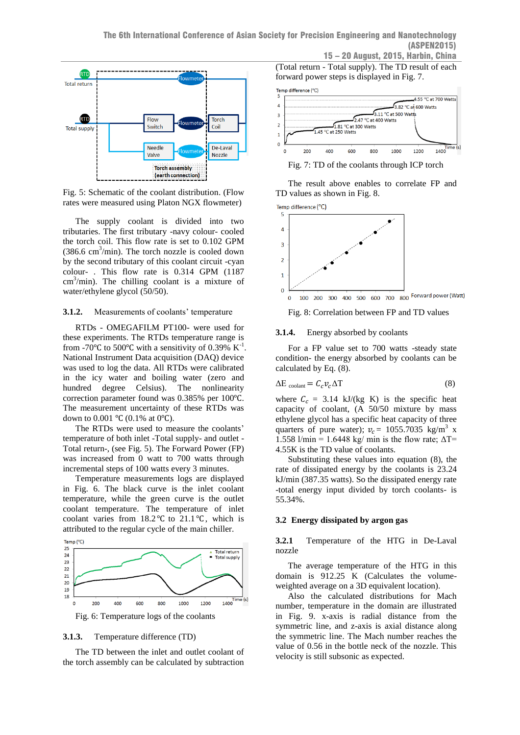

<span id="page-3-0"></span>Fig. 5: Schematic of the coolant distribution. (Flow rates were measured using Platon NGX flowmeter)

The supply coolant is divided into two tributaries. The first tributary -navy colour- cooled the torch coil. This flow rate is set to 0.102 GPM  $(386.6 \text{ cm}^3/\text{min})$ . The torch nozzle is cooled down by the second tributary of this coolant circuit -cyan colour- . This flow rate is 0.314 GPM (1187  $\text{cm}^3/\text{min}$ ). The chilling coolant is a mixture of water/ethylene glycol (50/50).

### **3.1.2.** Measurements of coolants' temperature

RTDs - OMEGAFILM PT100- were used for these experiments. The RTDs temperature range is from -70 $\degree$ C to 500 $\degree$ C with a sensitivity of 0.39% K<sup>-1</sup>. National Instrument Data acquisition (DAQ) device was used to log the data. All RTDs were calibrated in the icy water and boiling water (zero and hundred degree Celsius). The nonlinearity correction parameter found was 0.385% per 100℃. The measurement uncertainty of these RTDs was down to  $0.001 \text{ °C}$  (0.1% at 0°C).

The RTDs were used to measure the coolants' temperature of both inlet -Total supply- and outlet - Total return-, (see [Fig. 5\)](#page-3-0). The Forward Power (FP) was increased from 0 watt to 700 watts through incremental steps of 100 watts every 3 minutes.

Temperature measurements logs are displayed in [Fig. 6.](#page-3-1) The black curve is the inlet coolant temperature, while the green curve is the outlet coolant temperature. The temperature of inlet coolant varies from 18.2 ℃ to 21.1℃, which is attributed to the regular cycle of the main chiller.



<span id="page-3-1"></span>Fig. 6: Temperature logs of the coolants

### **3.1.3.** Temperature difference (TD)

The TD between the inlet and outlet coolant of the torch assembly can be calculated by subtraction

(Total return - Total supply). The TD result of each forward power steps is displayed in [Fig. 7.](#page-3-2) 



<span id="page-3-2"></span>Fig. 7: TD of the coolants through ICP torch

The result above enables to correlate FP and TD values as shown in [Fig. 8.](#page-3-3)

![](_page_3_Figure_16.jpeg)

<span id="page-3-3"></span>Fig. 8: Correlation between FP and TD values

### **3.1.4.** Energy absorbed by coolants

For a FP value set to 700 watts -steady state condition- the energy absorbed by coolants can be calculated by Eq. (8).

$$
\Delta E_{\text{coolant}} = C_c v_c \Delta T \tag{8}
$$

where  $C_c = 3.14$  kJ/(kg K) is the specific heat capacity of coolant, (A 50/50 mixture by mass ethylene glycol has a specific heat capacity of three quarters of pure water);  $v_c = 1055.7035 \text{ kg/m}^3 \text{ x}$ 1.558 l/min = 1.6448 kg/ min is the flow rate;  $\Delta T$ = 4.55K is the TD value of coolants.

Substituting these values into equation (8), the rate of dissipated energy by the coolants is 23.24 kJ/min (387.35 watts). So the dissipated energy rate -total energy input divided by torch coolants- is 55.34%.

#### **3.2 Energy dissipated by argon gas**

**3.2.1** Temperature of the HTG in De-Laval nozzle

The average temperature of the HTG in this domain is 912.25 K (Calculates the volumeweighted average on a 3D equivalent location).

Also the calculated distributions for Mach number, temperature in the domain are illustrated in [Fig. 9.](#page-4-0) x-axis is radial distance from the symmetric line, and z-axis is axial distance along the symmetric line. The Mach number reaches the value of 0.56 in the bottle neck of the nozzle. This velocity is still subsonic as expected.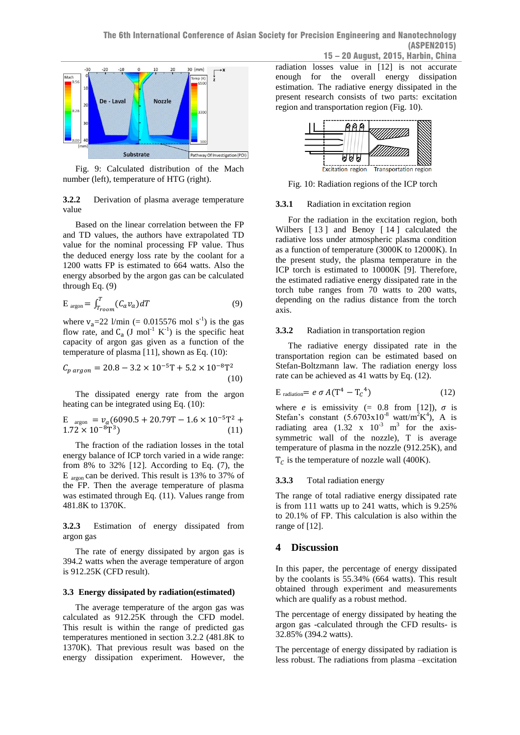![](_page_4_Figure_1.jpeg)

<span id="page-4-0"></span>Fig. 9: Calculated distribution of the Mach number (left), temperature of HTG (right).

**3.2.2** Derivation of plasma average temperature value

Based on the linear correlation between the FP and TD values, the authors have extrapolated TD value for the nominal processing FP value. Thus the deduced energy loss rate by the coolant for a 1200 watts FP is estimated to 664 watts. Also the energy absorbed by the argon gas can be calculated through Eq. (9)

$$
E_{\text{argon}} = \int_{T_{room}}^{T} (C_a v_a) dT \tag{9}
$$

where  $v_a = 22$  l/min (= 0.015576 mol s<sup>-1</sup>) is the gas flow rate, and  $C_a$  (J mol<sup>-1</sup> K<sup>-1</sup>) is the specific heat capacity of argon gas given as a function of the temperature of plasma [11], shown as Eq. (10):

$$
C_{p\, argon} = 20.8 - 3.2 \times 10^{-5} \text{T} + 5.2 \times 10^{-8} \text{T}^2 \tag{10}
$$

The dissipated energy rate from the argon heating can be integrated using Eq. (10):

$$
\mathrm{E_{\text{argon}}} = \nu_a (6090.5 + 20.79 \mathrm{T} - 1.6 \times 10^{-5} \mathrm{T}^2 + 1.72 \times 10^{-8} \mathrm{T}^3) \tag{11}
$$

<span id="page-4-1"></span>The fraction of the radiation losses in the total energy balance of ICP torch varied in a wide range: from 8% to 32% [12]. According to Eq.  $(7)$ , the E  $_{\text{argon}}$  can be derived. This result is 13% to 37% of the FP. Then the average temperature of plasma was estimated through Eq. (11). Values range from 481.8K to 1370K.

**3.2.3** Estimation of energy dissipated from argon gas

The rate of energy dissipated by argon gas is 394.2 watts when the average temperature of argon is 912.25K (CFD result).

#### **3.3 Energy dissipated by radiation(estimated)**

The average temperature of the argon gas was calculated as 912.25K through the CFD model. This result is within the range of predicted gas temperatures mentioned in section 3.2.2 (481.8K to 1370K). That previous result was based on the energy dissipation experiment. However, the radiation losses value in [\[12\]](#page-4-1) is not accurate enough for the overall energy dissipation estimation. The radiative energy dissipated in the present research consists of two parts: excitation region and transportation region [\(Fig. 10\)](#page-4-2).

![](_page_4_Figure_16.jpeg)

<span id="page-4-2"></span>Fig. 10: Radiation regions of the ICP torch

## **3.3.1** Radiation in excitation region

For the radiation in the excitation region, both Wilbers [13] and Benoy [14] calculated the radiative loss under atmospheric plasma condition as a function of temperature (3000K to 12000K). In the present study, the plasma temperature in the ICP torch is estimated to 10000K [\[9\]](#page-2-0). Therefore, the estimated radiative energy dissipated rate in the torch tube ranges from 70 watts to 200 watts, depending on the radius distance from the torch axis.

### **3.3.2** Radiation in transportation region

The radiative energy dissipated rate in the transportation region can be estimated based on Stefan-Boltzmann law. The radiation energy loss rate can be achieved as 41 watts by Eq. (12).

$$
E_{\text{radiation}} = e \sigma A (T^4 - T_c^4) \tag{12}
$$

where *e* is emissivity (= 0.8 from [\[12\]](#page-4-1)),  $\sigma$  is Stefan's constant  $(5.6703 \times 10^{-8} \text{ watt/m}^2 \text{K}^4)$ , A is radiating area  $(1.32 \times 10^{-3} \text{ m}^3)$  for the axissymmetric wall of the nozzle), T is average temperature of plasma in the nozzle (912.25K), and  $T_c$  is the temperature of nozzle wall (400K).

### **3.3.3** Total radiation energy

The range of total radiative energy dissipated rate is from 111 watts up to 241 watts, which is 9.25% to 20.1% of FP. This calculation is also within the range of [12].

## **4 Discussion**

In this paper, the percentage of energy dissipated by the coolants is 55.34% (664 watts). This result obtained through experiment and measurements which are qualify as a robust method.

The percentage of energy dissipated by heating the argon gas -calculated through the CFD results- is 32.85% (394.2 watts).

The percentage of energy dissipated by radiation is less robust. The radiations from plasma –excitation